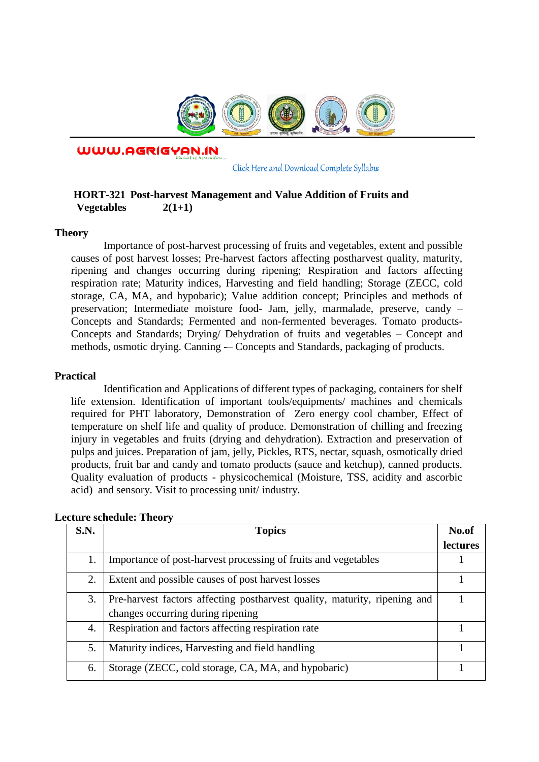

WWW.AGRIGYAN.IN

[Click Here and Download Complete Syllabus](http://agrigyan.in/)

## **HORT-321 Post-harvest Management and Value Addition of Fruits and Vegetables 2(1+1)**

#### **Theory**

 $\overline{a}$ 

Importance of post-harvest processing of fruits and vegetables, extent and possible causes of post harvest losses; Pre-harvest factors affecting postharvest quality, maturity, ripening and changes occurring during ripening; Respiration and factors affecting respiration rate; Maturity indices, Harvesting and field handling; Storage (ZECC, cold storage, CA, MA, and hypobaric); Value addition concept; Principles and methods of preservation; Intermediate moisture food- Jam, jelly, marmalade, preserve, candy – Concepts and Standards; Fermented and non-fermented beverages. Tomato products-Concepts and Standards; Drying/ Dehydration of fruits and vegetables – Concept and methods, osmotic drying. Canning -– Concepts and Standards, packaging of products.

#### **Practical**

Identification and Applications of different types of packaging, containers for shelf life extension. Identification of important tools/equipments/ machines and chemicals required for PHT laboratory, Demonstration of Zero energy cool chamber, Effect of temperature on shelf life and quality of produce. Demonstration of chilling and freezing injury in vegetables and fruits (drying and dehydration). Extraction and preservation of pulps and juices. Preparation of jam, jelly, Pickles, RTS, nectar, squash, osmotically dried products, fruit bar and candy and tomato products (sauce and ketchup), canned products. Quality evaluation of products - physicochemical (Moisture, TSS, acidity and ascorbic acid) and sensory. Visit to processing unit/ industry.

| S.N. | <b>Topics</b>                                                             | No.of           |
|------|---------------------------------------------------------------------------|-----------------|
|      |                                                                           | <b>lectures</b> |
|      | Importance of post-harvest processing of fruits and vegetables            |                 |
| 2.   | Extent and possible causes of post harvest losses                         |                 |
| 3.   | Pre-harvest factors affecting postharvest quality, maturity, ripening and |                 |
|      | changes occurring during ripening                                         |                 |
| 4.   | Respiration and factors affecting respiration rate                        |                 |
| 5.   | Maturity indices, Harvesting and field handling                           |                 |
| 6.   | Storage (ZECC, cold storage, CA, MA, and hypobaric)                       |                 |

### **Lecture schedule: Theory**